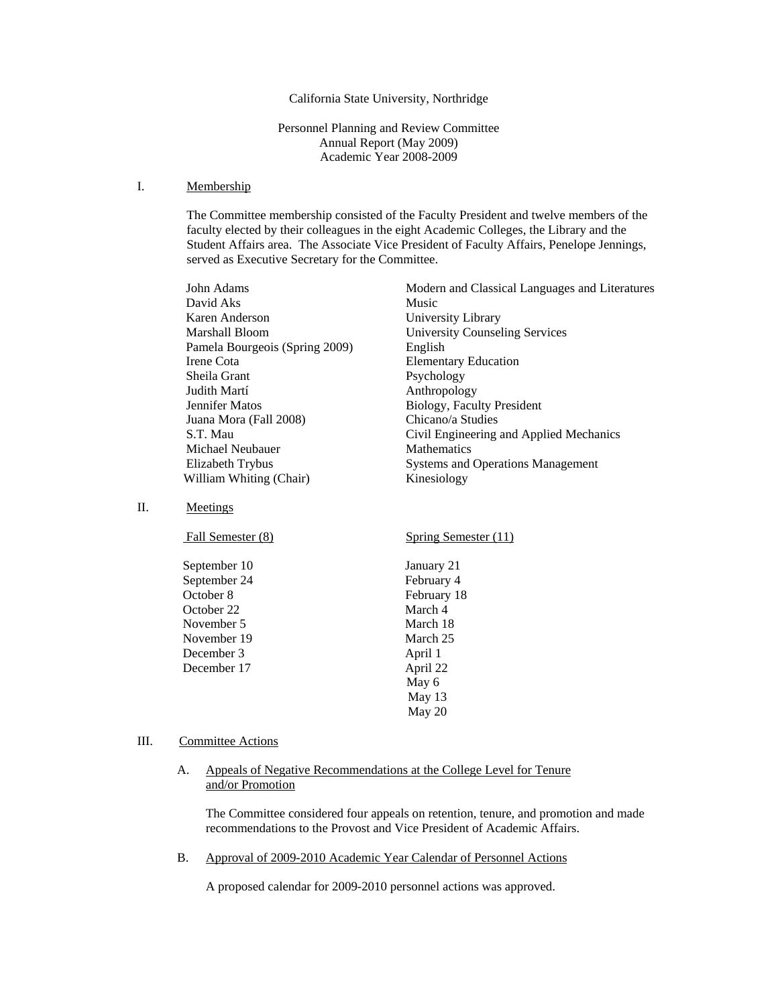# California State University, Northridge

Personnel Planning and Review Committee Annual Report (May 2009) Academic Year 2008-2009

#### I. Membership

The Committee membership consisted of the Faculty President and twelve members of the faculty elected by their colleagues in the eight Academic Colleges, the Library and the Student Affairs area. The Associate Vice President of Faculty Affairs, Penelope Jennings, served as Executive Secretary for the Committee.

| John Adams                     | Modern and Classical Languages and Literatures |
|--------------------------------|------------------------------------------------|
| David Aks                      | Music                                          |
| Karen Anderson                 | University Library                             |
| Marshall Bloom                 | <b>University Counseling Services</b>          |
| Pamela Bourgeois (Spring 2009) | English                                        |
| Irene Cota                     | <b>Elementary Education</b>                    |
| Sheila Grant                   | Psychology                                     |
| Judith Martí                   | Anthropology                                   |
| Jennifer Matos                 | Biology, Faculty President                     |
| Juana Mora (Fall 2008)         | Chicano/a Studies                              |
| S.T. Mau                       | Civil Engineering and Applied Mechanics        |
| Michael Neubauer               | <b>Mathematics</b>                             |
| Elizabeth Trybus               | <b>Systems and Operations Management</b>       |
| William Whiting (Chair)        | Kinesiology                                    |
|                                |                                                |

II. Meetings

| Fall Semester (8) | Spring Semester (11) |
|-------------------|----------------------|
| September 10      | January 21           |
| September 24      | February 4           |
| October 8         | February 18          |
| October 22        | March 4              |
| November 5        | March 18             |
| November 19       | March 25             |
| December 3        | April 1              |
| December 17       | April 22             |
|                   | May 6                |
|                   | May 13               |
|                   | May 20               |

#### III. Committee Actions

# A. Appeals of Negative Recommendations at the College Level for Tenure and/or Promotion

The Committee considered four appeals on retention, tenure, and promotion and made recommendations to the Provost and Vice President of Academic Affairs.

B. Approval of 2009-2010 Academic Year Calendar of Personnel Actions

A proposed calendar for 2009-2010 personnel actions was approved.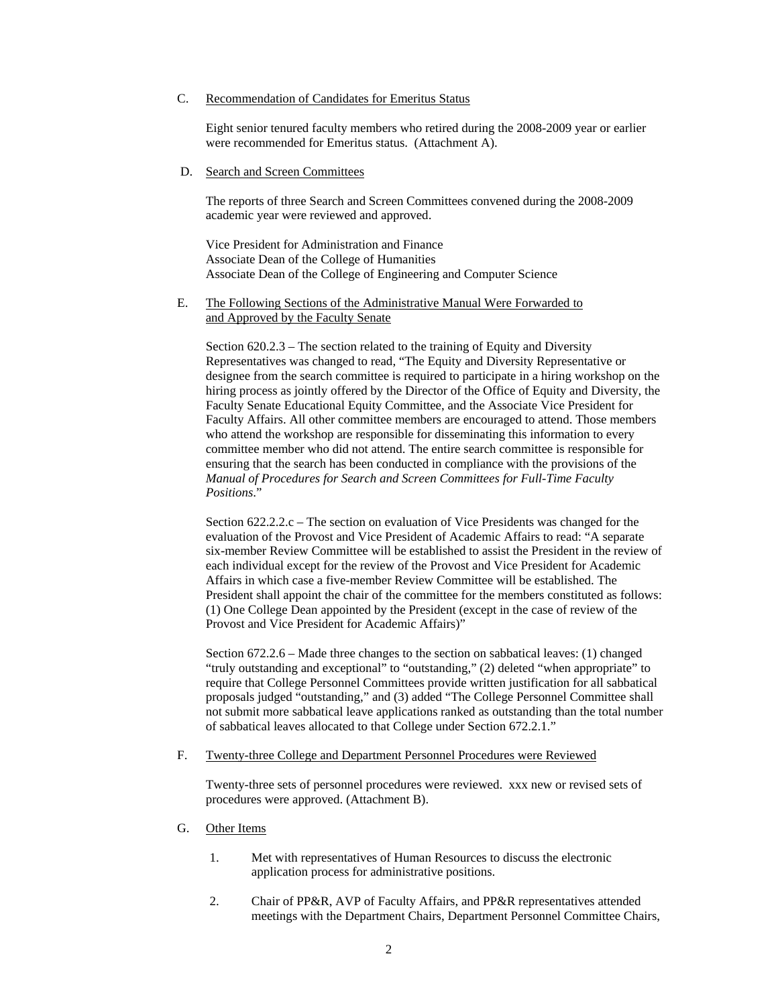#### C. Recommendation of Candidates for Emeritus Status

 Eight senior tenured faculty members who retired during the 2008-2009 year or earlier were recommended for Emeritus status. (Attachment A).

#### D. Search and Screen Committees

The reports of three Search and Screen Committees convened during the 2008-2009 academic year were reviewed and approved.

 Vice President for Administration and Finance Associate Dean of the College of Humanities Associate Dean of the College of Engineering and Computer Science

# E. The Following Sections of the Administrative Manual Were Forwarded to and Approved by the Faculty Senate

Section 620.2.3 – The section related to the training of Equity and Diversity Representatives was changed to read, "The Equity and Diversity Representative or designee from the search committee is required to participate in a hiring workshop on the hiring process as jointly offered by the Director of the Office of Equity and Diversity, the Faculty Senate Educational Equity Committee, and the Associate Vice President for Faculty Affairs. All other committee members are encouraged to attend. Those members who attend the workshop are responsible for disseminating this information to every committee member who did not attend. The entire search committee is responsible for ensuring that the search has been conducted in compliance with the provisions of the *Manual of Procedures for Search and Screen Committees for Full-Time Faculty Positions*."

Section 622.2.2.c – The section on evaluation of Vice Presidents was changed for the evaluation of the Provost and Vice President of Academic Affairs to read: "A separate six-member Review Committee will be established to assist the President in the review of each individual except for the review of the Provost and Vice President for Academic Affairs in which case a five-member Review Committee will be established. The President shall appoint the chair of the committee for the members constituted as follows: (1) One College Dean appointed by the President (except in the case of review of the Provost and Vice President for Academic Affairs)"

Section 672.2.6 – Made three changes to the section on sabbatical leaves: (1) changed "truly outstanding and exceptional" to "outstanding," (2) deleted "when appropriate" to require that College Personnel Committees provide written justification for all sabbatical proposals judged "outstanding," and (3) added "The College Personnel Committee shall not submit more sabbatical leave applications ranked as outstanding than the total number of sabbatical leaves allocated to that College under Section 672.2.1."

#### F. Twenty-three College and Department Personnel Procedures were Reviewed

Twenty-three sets of personnel procedures were reviewed. xxx new or revised sets of procedures were approved. (Attachment B).

### G. Other Items

- 1. Met with representatives of Human Resources to discuss the electronic application process for administrative positions.
- 2. Chair of PP&R, AVP of Faculty Affairs, and PP&R representatives attended meetings with the Department Chairs, Department Personnel Committee Chairs,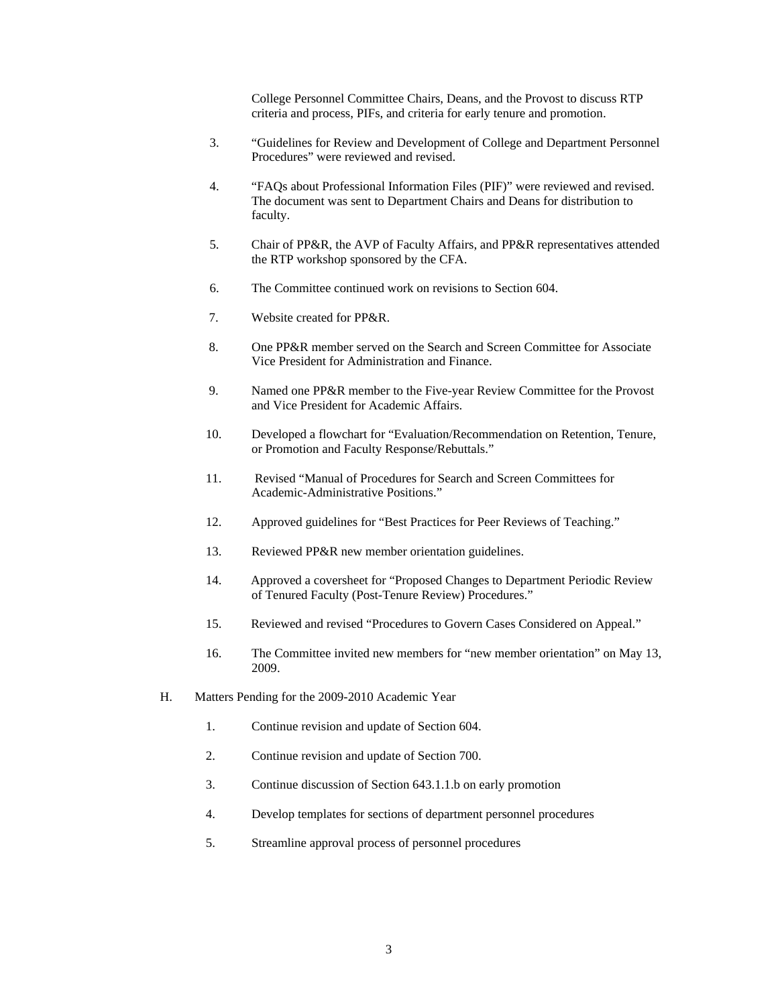College Personnel Committee Chairs, Deans, and the Provost to discuss RTP criteria and process, PIFs, and criteria for early tenure and promotion.

- 3. "Guidelines for Review and Development of College and Department Personnel Procedures" were reviewed and revised.
- 4. "FAQs about Professional Information Files (PIF)" were reviewed and revised. The document was sent to Department Chairs and Deans for distribution to faculty.
- 5. Chair of PP&R, the AVP of Faculty Affairs, and PP&R representatives attended the RTP workshop sponsored by the CFA.
- 6. The Committee continued work on revisions to Section 604.
- 7. Website created for PP&R.
- 8. One PP&R member served on the Search and Screen Committee for Associate Vice President for Administration and Finance.
- 9. Named one PP&R member to the Five-year Review Committee for the Provost and Vice President for Academic Affairs.
- 10. Developed a flowchart for "Evaluation/Recommendation on Retention, Tenure, or Promotion and Faculty Response/Rebuttals."
- 11. Revised "Manual of Procedures for Search and Screen Committees for Academic-Administrative Positions."
- 12. Approved guidelines for "Best Practices for Peer Reviews of Teaching."
- 13. Reviewed PP&R new member orientation guidelines.
- 14. Approved a coversheet for "Proposed Changes to Department Periodic Review of Tenured Faculty (Post-Tenure Review) Procedures."
- 15. Reviewed and revised "Procedures to Govern Cases Considered on Appeal."
- 16. The Committee invited new members for "new member orientation" on May 13, 2009.
- H. Matters Pending for the 2009-2010 Academic Year
	- 1. Continue revision and update of Section 604.
	- 2. Continue revision and update of Section 700.
	- 3. Continue discussion of Section 643.1.1.b on early promotion
	- 4. Develop templates for sections of department personnel procedures
	- 5. Streamline approval process of personnel procedures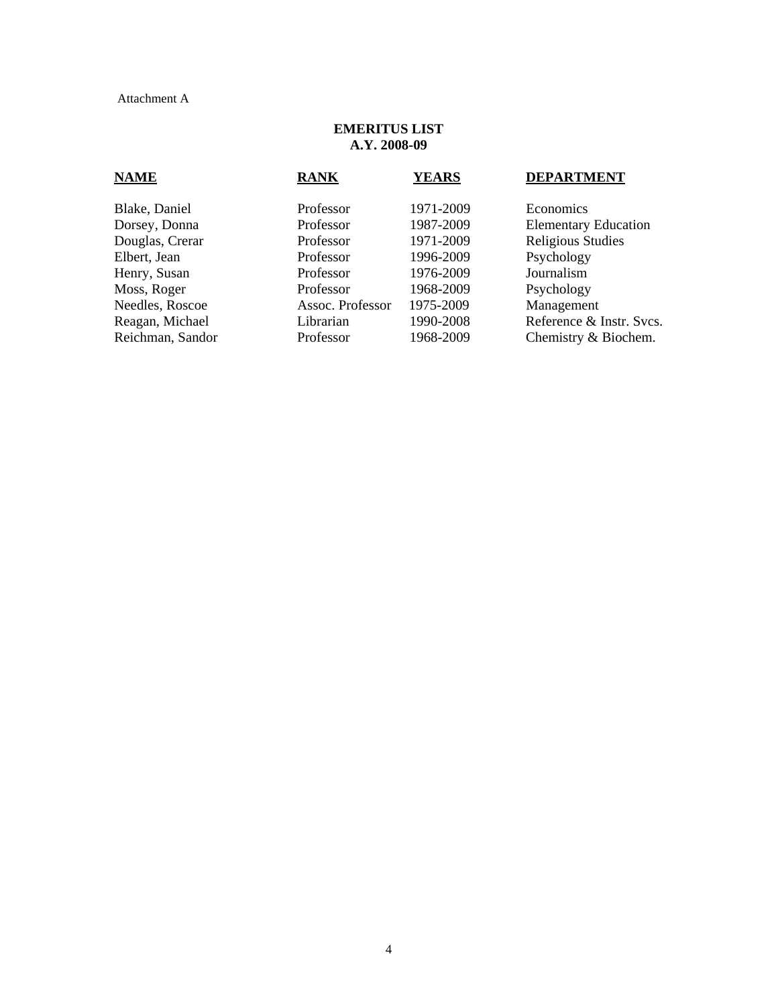# Attachment A

# **EMERITUS LIST A.Y. 2008-09**

| <b>NAME</b>      | <b>RANK</b>      | <b>YEARS</b> | <b>DEPARTMENT</b>           |
|------------------|------------------|--------------|-----------------------------|
| Blake, Daniel    | Professor        | 1971-2009    | Economics                   |
| Dorsey, Donna    | Professor        | 1987-2009    | <b>Elementary Education</b> |
| Douglas, Crerar  | Professor        | 1971-2009    | Religious Studies           |
| Elbert, Jean     | Professor        | 1996-2009    | Psychology                  |
| Henry, Susan     | Professor        | 1976-2009    | Journalism                  |
| Moss, Roger      | Professor        | 1968-2009    | Psychology                  |
| Needles, Roscoe  | Assoc. Professor | 1975-2009    | Management                  |
| Reagan, Michael  | Librarian        | 1990-2008    | Reference & Instr. Svcs.    |
| Reichman, Sandor | Professor        | 1968-2009    | Chemistry & Biochem.        |